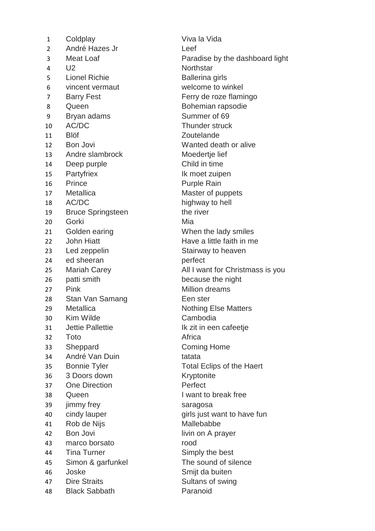1 Coldplay Viva la Vida 2 André Hazes Jr Leef 4 U2 Northstar 5 Lionel Richie **Ballerina** girls 6 vincent vermaut welcome to winkel 7 Barry Fest Ferry de roze flamingo 8 Queen Bohemian rapsodie 9 Bryan adams Summer of 69 10 AC/DC Thunder struck 11 Blöf Zoutelande 12 Bon Jovi Wanted death or alive 13 Andre slambrock Moedertje lief 14 Deep purple Child in time 15 Partyfriex Ik moet zuipen 16 Prince Purple Rain 17 Metallica Master of puppets 18 AC/DC highway to hell 19 Bruce Springsteen the river 20 Gorki Mia 21 Golden earing **Example 21** When the lady smiles 22 John Hiatt **Have a little faith in me** 23 Led zeppelin Stairway to heaven 24 ed sheeran perfect 26 patti smith because the night 27 Pink Million dreams 28 Stan Van Samang Een ster 29 Metallica Nothing Else Matters 30 Kim Wilde Cambodia 31 Jettie Pallettie **International Executive III** k zit in een cafeetje 32 Toto Africa 33 Sheppard Coming Home 34 André Van Duin **tatata** 35 Bonnie Tyler Total Eclips of the Haert 36 3 Doors down Kryptonite 37 One Direction Perfect 38 Queen I want to break free 39 jimmy frey saragosa 40 cindy lauper girls just want to have fun 41 Rob de Nijs Mallebabbe 42 Bon Jovi **in the State of the United States** livin on A prayer 43 marco borsato rood 44 Tina Turner Simply the best 45 Simon & garfunkel The sound of silence 46 Joske Smijt da buiten 47 Dire Straits Sultans of swing 48 Black Sabbath Paranoid

3 Meat Loaf Paradise by the dashboard light 25 Mariah Carey **All I want for Christmass is you**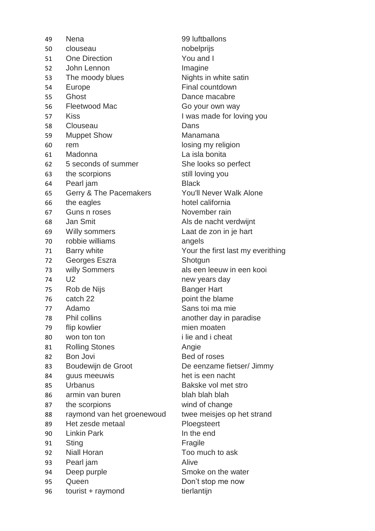49 Nena 99 luftballons 50 clouseau nobelprijs 51 One Direction You and I 52 John Lennon Imagine 53 The moody blues Nights in white satin 54 Europe **Final countdown** 55 Ghost Dance macabre 56 Fleetwood Mac Go your own way 57 Kiss **I** was made for loving you 58 Clouseau Dans 59 Muppet Show Manamana 60 rem losing my religion 61 Madonna La isla bonita 62 5 seconds of summer She looks so perfect 63 the scorpions still loving you 64 Pearl jam Black 65 Gerry & The Pacemakers You'll Never Walk Alone 66 the eagles hotel california 67 Guns n roses November rain 68 Jan Smit **Als de nacht verdwijnt** 69 Willy sommers Laat de zon in je hart 70 robbie williams angels 71 Barry white Your the first last my everithing 72 Georges Eszra **Shotgun** 73 willy Sommers als een leeuw in een kooi 74 U2 new years day 75 Rob de Nijs Banger Hart 76 catch 22 point the blame 77 Adamo Sans toi ma mie 78 Phil collins another day in paradise 79 flip kowlier mien moaten 80 won ton ton i lie and i cheat 81 Rolling Stones **Angie** 82 Bon Jovi Bed of roses 83 Boudewijn de Groot De eenzame fietser/ Jimmy 84 guus meeuwis het is een nacht 85 Urbanus Bakske vol met stro 86 armin van buren blah blah blah 87 the scorpions wind of change 88 raymond van het groenewoud twee meisjes op het strand 89 Het zesde metaal Ploegsteert 90 Linkin Park In the end 91 Sting **Fragile** 92 Niall Horan Too much to ask 93 Pearl jam Alive 94 Deep purple Smoke on the water 95 Queen Don't stop me now 96 tourist + raymond tierlantijn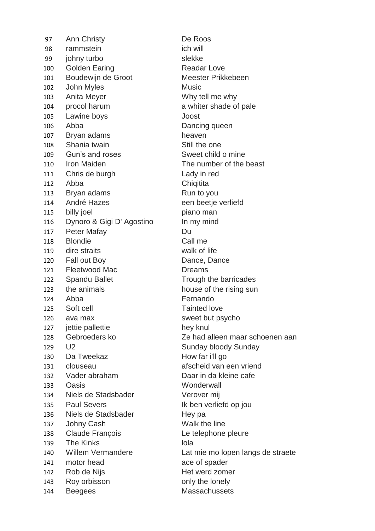97 Ann Christy De Roos 98 rammstein ich will 99 johny turbo slekke 100 Golden Earing **Readar Love** 101 Boudewijn de Groot Meester Prikkebeen 102 John Myles Music 103 Anita Meyer Why tell me why 104 procol harum a whiter shade of pale 105 Lawine boys Joost 106 Abba Dancing queen 107 Bryan adams heaven 108 Shania twain Still the one 109 Gun's and roses Sweet child o mine 110 Iron Maiden The number of the beast 111 Chris de burgh Lady in red 112 Abba Chiqitita 113 Bryan adams Run to you 114 André Hazes een beetje verliefd 115 billy joel piano man 116 Dynoro & Gigi D' Agostino In my mind 117 Peter Mafay **Du** 118 Blondie Call me 119 dire straits walk of life 120 Fall out Boy **Dance**, Dance Dance 121 Fleetwood Mac **Dreams** 122 Spandu Ballet Trough the barricades 123 the animals house of the rising sun 124 Abba Fernando 125 Soft cell **Tainted love** 126 avaimax sweet but psycho 127 jettie pallettie hey knul 129 U2 Sunday bloody Sunday 130 Da Tweekaz How far i'll go 131 clouseau afscheid van een vriend 132 Vader abraham Daar in da kleine cafe 133 Oasis Wonderwall 134 Niels de Stadsbader Verover mij 135 Paul Severs Ik ben verliefd op jou 136 Niels de Stadsbader Hey pa 137 Johny Cash Walk the line 138 Claude François Le telephone pleure 139 The Kinks and Iola 141 motor head ace of spader 142 Rob de Nijs **Het werd zomer** 143 Roy orbisson **buy** only the lonely 144 Beegees Massachussets

128 Gebroeders ko Ze had alleen maar schoenen aan 140 Willem Vermandere Lat mie mo lopen langs de straete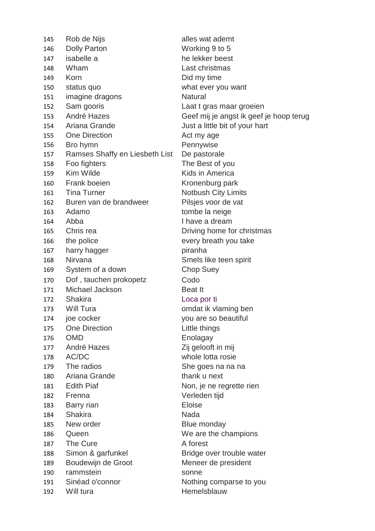| 145 | Rob de Nijs                    | alles wat ademt         |
|-----|--------------------------------|-------------------------|
| 146 | <b>Dolly Parton</b>            | Working 9 to 5          |
| 147 | isabelle a                     | he lekker beest         |
| 148 | Wham                           | Last christmas          |
| 149 | Korn                           | Did my time             |
| 150 | status quo                     | what ever you w         |
| 151 | imagine dragons                | <b>Natural</b>          |
| 152 | Sam gooris                     | Laat t gras maaı        |
| 153 | André Hazes                    | Geef mij je angs        |
| 154 | Ariana Grande                  | Just a little bit of    |
| 155 | <b>One Direction</b>           | Act my age              |
| 156 | Bro hymn                       | Pennywise               |
| 157 | Ramses Shaffy en Liesbeth List | De pastorale            |
| 158 | Foo fighters                   | The Best of you         |
| 159 | Kim Wilde                      | Kids in America         |
| 160 | <b>Frank boeien</b>            | Kronenburg parl         |
| 161 | <b>Tina Turner</b>             | <b>Notbush City Lir</b> |
| 162 | Buren van de brandweer         | Pilsjes voor de v       |
| 163 | Adamo                          | tombe la neige          |
| 164 | Abba                           | I have a dream          |
| 165 | Chris rea                      | Driving home for        |
| 166 | the police                     | every breath you        |
| 167 | harry hagger                   | piranha                 |
| 168 | Nirvana                        | Smels like teen         |
| 169 | System of a down               | <b>Chop Suey</b>        |
| 170 | Dof, tauchen prokopetz         | Codo                    |
| 171 | Michael Jackson                | <b>Beat It</b>          |
| 172 | <b>Shakira</b>                 | Loca por ti             |
| 173 | Will Tura                      | omdat ik vlaming        |
| 174 | joe cocker                     | you are so beau         |
| 175 | <b>One Direction</b>           | Little things           |
| 176 | <b>OMD</b>                     | Enolagay                |
| 177 | André Hazes                    | Zij gelooft in mij      |
| 178 | AC/DC                          | whole lotta rosie       |
| 179 | The radios                     | She goes na na          |
| 180 | Ariana Grande                  | thank u next            |
| 181 | <b>Edith Piaf</b>              | Non, je ne regre        |
| 182 | Frenna                         | Verleden tijd           |
| 183 | Barry rian                     | <b>Eloise</b>           |
| 184 | <b>Shakira</b>                 | Nada                    |
| 185 | New order                      | <b>Blue monday</b>      |
| 186 | Queen                          | We are the char         |
| 187 | The Cure                       | A forest                |
| 188 | Simon & garfunkel              | Bridge over trou        |
| 189 | Boudewijn de Groot             | Meneer de presi         |
| 190 | rammstein                      | sonne                   |
| 191 | Sinéad o'connor                | Nothing compar          |
| 192 | Will tura                      | Hemelsblauw             |
|     |                                |                         |

Working 9 to 5 he lekker beest Last christmas Did my time what ever you want **Natural** Laat t gras maar groeien Geef mij je angst ik geef je hoop terug Just a little bit of your hart Act my age Pennywise De pastorale The Best of you Kids in America Kronenburg park **Notbush City Limits** Pilsjes voor de vat tombe la neige I have a dream Driving home for christmas every breath you take piranha Smels like teen spirit Chop Suey **Beat It** Loca por ti omdat ik vlaming ben you are so beautiful Little things **Enolagay** Zij gelooft in mij whole lotta rosie She goes na na na thank u next Non, je ne regrette rien Verleden tijd Blue monday We are the champions A forest Bridge over trouble water Meneer de president sonne Nothing comparse to you **Hemelsblauw**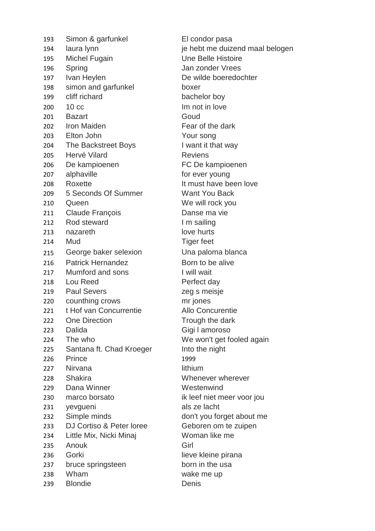193 Simon & garfunkel El condor pasa 194 laura lynn je hebt me duizend maal belogen 195 Michel Fugain Une Belle Histoire 196 Spring **Series** Spring **Jan zonder Vrees** 197 Ivan Heylen De wilde boeredochter 198 simon and garfunkel boxer 199 cliff richard bachelor boy 200 10 cc Im not in love 201 Bazart Goud 202 Iron Maiden **Fear of the dark** 203 Elton John Your song 204 The Backstreet Boys I want it that way 205 Hervé Vilard **Reviens** 206 De kampioenen FC De kampioenen 207 alphaville for ever young 208 Roxette It must have been love 209 5 Seconds Of Summer Want You Back 210 Queen We will rock you 211 Claude François **Danse ma vie** 212 Rod steward **I'm sailing** 213 nazareth love hurts 214 Mud Tiger feet 215 George baker selexion Una paloma blanca 216 Patrick Hernandez Born to be alive 217 Mumford and sons I will wait 218 Lou Reed Perfect day 219 Paul Severs zeg s meisje 220 counthing crows mr jones 221 t Hof van Concurrentie Allo Concurentie 222 One Direction Trough the dark 223 Dalida Gigi I amoroso 224 The who We won't get fooled again 225 Santana ft. Chad Kroeger Into the night 226 Prince 1999 227 Nirvana lithium 228 Shakira Whenever wherever 229 Dana Winner Westenwind 230 marco borsato ik leef niet meer voor jou 231 yevgueni als ze lacht 232 Simple minds don't you forget about me 233 DJ Cortiso & Peter loree Geboren om te zuipen 234 Little Mix, Nicki Minaj Woman like me 235 Anouk Girl 236 Gorki lieve kleine pirana 237 bruce springsteen born in the usa 238 Wham wake me up 239 Blondie Denis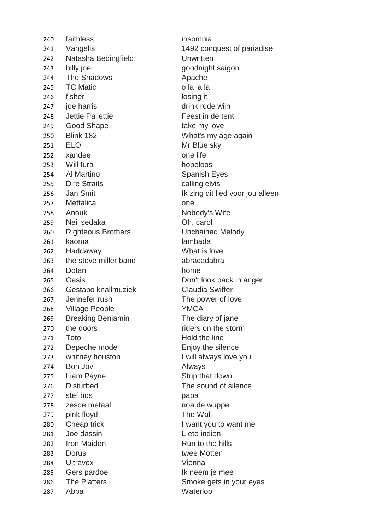240 faithless insomnia 242 Natasha Bedingfield Unwritten 243 billy joel goodnight saigon 244 The Shadows **Apache** 245 TC Matic o la la la 246 fisher losing it 247 joe harris drink rode wijn 248 Jettie Pallettie Feest in de tent 249 Good Shape take my love 250 Blink 182 What's my age again 251 ELO Mr Blue sky 252 xandee one life 253 Will tura hopeloos 254 Al Martino Spanish Eyes 255 Dire Straits **calling elvis** 257 Mettalica one 258 Anouk Nobody's Wife 259 Neil sedaka Oh, carol 260 Righteous Brothers Unchained Melody 261 kaoma lambada 262 Haddaway What is love 263 the steve miller band abracadabra 264 Dotan home 265 Oasis Don't look back in anger 266 Gestapo knallmuziek Claudia Swiffer 267 Jennefer rush The power of love 268 Village People YMCA 269 Breaking Benjamin The diary of jane 270 the doors riders on the storm 271 Toto Hold the line 272 Depeche mode Enjoy the silence 273 whitney houston I will always love you 274 Bon Jovi Always 275 Liam Payne Strip that down 276 Disturbed The sound of silence 277 stef bos papa 278 zesde metaal noa de wuppe 279 pink floyd The Wall 280 Cheap trick I want you to want me 281 Joe dassin L ete indien 282 Iron Maiden **Run** to the hills 283 Dorus twee Motten 284 Ultravox Vienna 285 Gers pardoel Ik neem je mee 286 The Platters **Smoke gets in your eyes** 287 Abba Waterloo

241 Vangelis 1492 conquest of pariadise 256 Jan Smit **IK zing dit lied voor jou alleen**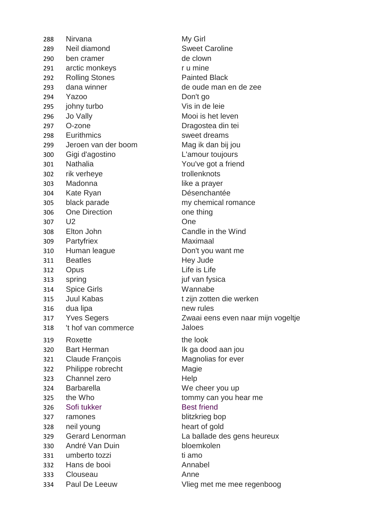288 Nirvana My Girl Neil diamond Sweet Caroline 290 ben cramer de clown 291 arctic monkeys rumine 292 Rolling Stones **Painted Black**  dana winner de oude man en de zee Yazoo Don't go 295 johny turbo Vis in de leie 296 Jo Vally **Mooi** is het leven O-zone Dragostea din tei 298 Eurithmics sweet dreams Jeroen van der boom Mag ik dan bij jou Gigi d'agostino L'amour toujours Nathalia You've got a friend 302 rik verheye trollenknots Madonna like a prayer Kate Ryan Désenchantée black parade my chemical romance 306 One Direction one thing U2 One Elton John Candle in the Wind Partyfriex Maximaal Human league Don't you want me 311 Beatles Hey Jude Opus Life is Life 313 spring iuf van fysica Spice Girls Wannabe 315 Juul Kabas t zijn zotten die werken dua lipa new rules 't hof van commerce Jaloes 319 Roxette the look 320 Bart Herman Ik ga dood aan jou Claude François Magnolias for ever Philippe robrecht Magie Channel zero Help Barbarella We cheer you up 325 the Who tommy can you hear me 326 Sofi tukker Best friend ramones blitzkrieg bop 328 neil young heart of gold André Van Duin bloemkolen 331 umberto tozzi ti amo Hans de booi Annabel Clouseau Anne

 Yves Segers Zwaai eens even naar mijn vogeltje Gerard Lenorman La ballade des gens heureux Paul De Leeuw Vlieg met me mee regenboog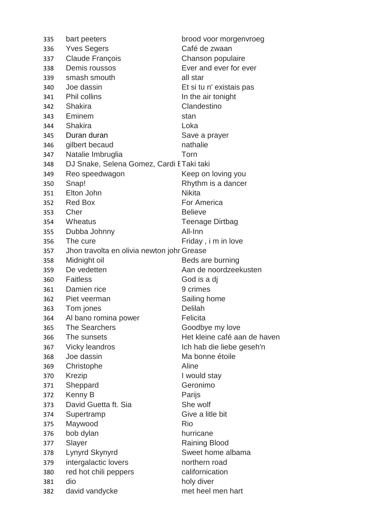| 335      | bart peeters                               | brood voor morgenvroeg       |
|----------|--------------------------------------------|------------------------------|
| 336      | <b>Yves Segers</b>                         | Café de zwaan                |
| 337      | <b>Claude François</b>                     | Chanson populaire            |
|          | 338 Demis roussos                          | Ever and ever for ever       |
| 339      | smash smouth                               | all star                     |
| 340      | Joe dassin                                 | Et si tu n' existais pas     |
|          | 341 Phil collins                           | In the air tonight           |
|          | 342 Shakira                                | Clandestino                  |
|          | 343 Eminem                                 | stan                         |
|          | 344 Shakira                                | Loka                         |
|          | 345 Duran duran                            | Save a prayer                |
| 346      | gilbert becaud                             | nathalie                     |
| 347      | Natalie Imbruglia                          | Torn                         |
| 348      | DJ Snake, Selena Gomez, Cardi ETaki taki   |                              |
| 349      | Reo speedwagon                             | Keep on loving you           |
| 350      | Snap!                                      | Rhythm is a dancer           |
| 351      | Elton John                                 | <b>Nikita</b>                |
|          | 352 Red Box                                | For America                  |
| 353 Cher |                                            | <b>Believe</b>               |
|          | 354 Wheatus                                | <b>Teenage Dirtbag</b>       |
|          | 355 Dubba Johnny                           | All-Inn                      |
|          | 356 The cure                               | Friday, i m in love          |
| 357      | Jhon travolta en olivia newton johr Grease |                              |
| 358      | Midnight oil                               | Beds are burning             |
| 359      | De vedetten                                | Aan de noordzeekusten        |
|          | 360 Faitless                               | God is a dj                  |
|          | 361 Damien rice                            | 9 crimes                     |
|          | 362 Piet veerman                           | Sailing home                 |
| 363      | Tom jones                                  | <b>Delilah</b>               |
| 364      | Al bano romina power                       | Felicita                     |
| 365      | The Searchers                              | Goodbye my love              |
| 366      | The sunsets                                | Het kleine café aan de haven |
| 367      | Vicky leandros                             | Ich hab die liebe geseh'n    |
| 368      | Joe dassin                                 | Ma bonne étoile              |
| 369      | Christophe                                 | Aline                        |
| 370      | Krezip                                     | I would stay                 |
| 371      | Sheppard                                   | Geronimo                     |
| 372      | Kenny B                                    | Parijs                       |
| 373      | David Guetta ft. Sia                       | She wolf                     |
| 374      | Supertramp                                 | Give a litle bit             |
| 375      | Maywood                                    | Rio                          |
| 376      | bob dylan                                  | hurricane                    |
| 377      | Slayer                                     | <b>Raining Blood</b>         |
| 378      | Lynyrd Skynyrd                             | Sweet home albama            |
| 379      | intergalactic lovers                       | northern road                |
| 380      | red hot chili peppers                      | californication              |
| 381      | dio                                        | holy diver                   |
| 382      | david vandycke                             | met heel men hart            |
|          |                                            |                              |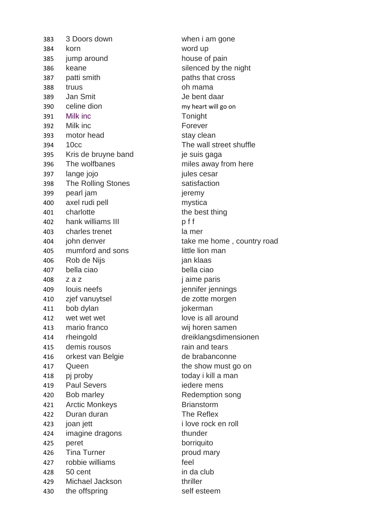383 3 Doors down when i am gone 384 korn word up 385 jump around house of pain 386 keane silenced by the night 387 patti smith paths that cross 388 truus oh mama 389 Jan Smit Je bent daar 390 celine dion my heart will go on 391 Milk inc Tonight 392 Milk inc Forever 393 motor head stay clean 394 10cc The wall street shuffle 395 Kris de bruyne band je suis gaga 396 The wolfbanes miles away from here 397 lange jojo jules cesar 398 The Rolling Stones Satisfaction 399 pearl jam jeremy 400 axel rudi pell mystica 401 charlotte the best thing 402 hank williams III b f f 403 charles trenet la mer 405 mumford and sons little lion man 406 Rob de Nijs ian klaas 407 bella ciao bella ciao 408 z a z  $\overline{z}$  z a z i aime paris 409 louis neefs jennifer jennings 410 zjef vanuytsel de zotte morgen 411 bob dylan jokerman 412 wet wet wet contract the love is all around 413 mario franco wij horen samen 414 rheingold dreiklangsdimensionen 415 demis rousos rain and tears 416 orkest van Belgie de brabanconne 417 Queen the show must go on 418 pj proby today i kill a man 419 Paul Severs iedere mens 420 Bob marley **Redemption** song 421 Arctic Monkeys **Brianstorm** 422 Duran duran The Reflex 423 joan jett i love rock en roll 424 imagine dragons thunder 425 peret borriquito 426 Tina Turner **proud mary** 427 robbie williams feel 428 50 cent in da club 429 Michael Jackson thriller 430 the offspring self esteem

404 john denver take me home, country road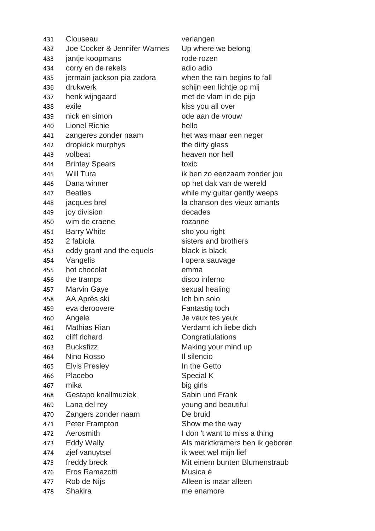Clouseau verlangen Joe Cocker & Jennifer Warnes Up where we belong jantje koopmans rode rozen 434 corry en de rekels adio adio adio jermain jackson pia zadora when the rain begins to fall drukwerk schijn een lichtje op mij henk wijngaard met de vlam in de pijp 438 exile **kiss** you all over 439 nick en simon ode aan de vrouw Lionel Richie hello zangeres zonder naam het was maar een neger 442 dropkick murphys the dirty glass volbeat heaven nor hell 444 Brintey Spears toxic 445 Will Tura ik ben zo eenzaam zonder jou Dana winner op het dak van de wereld Beatles while my guitar gently weeps 448 jacques brel la chanson des vieux amants joy division decades wim de craene rozanne 451 Barry White sho you right 2 fabiola sisters and brothers eddy grant and the equels black is black 454 Vangelis and lopera sauvage hot chocolat emma 456 the tramps disco inferno 457 Marvin Gaye sexual healing AA Après ski Ich bin solo eva deroovere Fantastig toch 460 Angele Je veux tes yeux Mathias Rian Verdamt ich liebe dich cliff richard Congratiulations 463 Bucksfizz Making your mind up Nino Rosso Il silencio 465 Elvis Presley **In the Getto**  Placebo Special K mika big girls Gestapo knallmuziek Sabin und Frank Lana del rey young and beautiful Zangers zonder naam De bruid 471 Peter Frampton Show me the way 472 Aerosmith I don 't want to miss a thing 473 Eddy Wally **Als marktkramers ben ik geboren**  zjef vanuytsel ik weet wel mijn lief freddy breck Mit einem bunten Blumenstraub Eros Ramazotti Musica é 477 Rob de Nijs **Alleen** is maar alleen Shakira me enamore